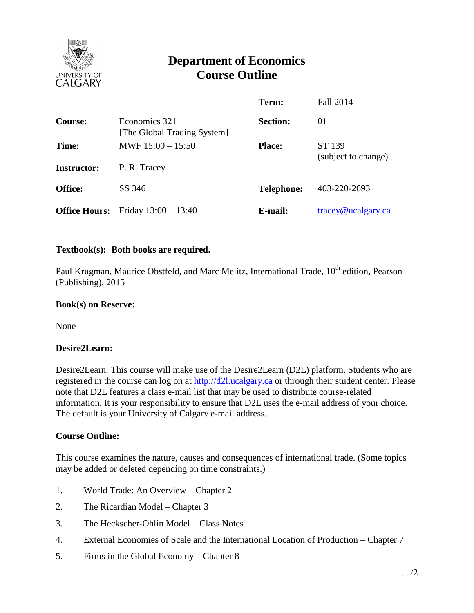

# **Department of Economics Course Outline**

|                      |                                              | Term:             | <b>Fall 2014</b>    |
|----------------------|----------------------------------------------|-------------------|---------------------|
| Course:              | Economics 321<br>[The Global Trading System] | <b>Section:</b>   | 01                  |
| Time:                | MWF $15:00 - 15:50$                          | <b>Place:</b>     | ST 139              |
| <b>Instructor:</b>   | P. R. Tracey                                 |                   | (subject to change) |
| <b>Office:</b>       | SS 346                                       | <b>Telephone:</b> | 403-220-2693        |
| <b>Office Hours:</b> | Friday $13:00 - 13:40$                       | E-mail:           | tracey@ucalgary.ca  |

## **Textbook(s): Both books are required.**

Paul Krugman, Maurice Obstfeld, and Marc Melitz, International Trade, 10<sup>th</sup> edition, Pearson (Publishing), 2015

## **Book(s) on Reserve:**

None

### **Desire2Learn:**

Desire2Learn: This course will make use of the Desire2Learn (D2L) platform. Students who are registered in the course can log on at [http://d2l.ucalgary.ca](http://d2l.ucalgary.ca/) or through their student center. Please note that D2L features a class e-mail list that may be used to distribute course-related information. It is your responsibility to ensure that D2L uses the e-mail address of your choice. The default is your University of Calgary e-mail address.

# **Course Outline:**

This course examines the nature, causes and consequences of international trade. (Some topics may be added or deleted depending on time constraints.)

- 1. World Trade: An Overview Chapter 2
- 2. The Ricardian Model Chapter 3
- 3. The Heckscher-Ohlin Model Class Notes
- 4. External Economies of Scale and the International Location of Production Chapter 7
- 5. Firms in the Global Economy Chapter 8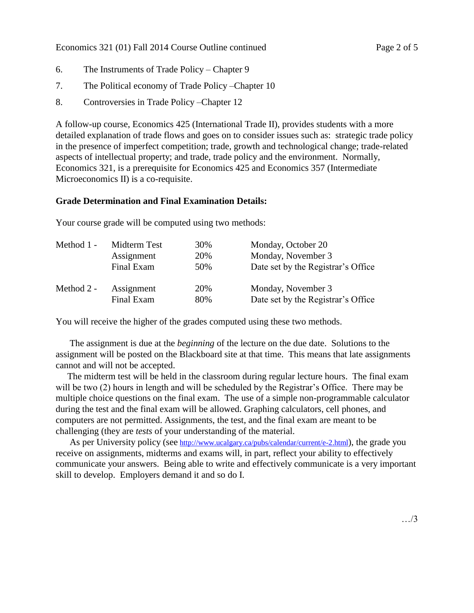Economics 321 (01) Fall 2014 Course Outline continued Page 2 of 5

- 6. The Instruments of Trade Policy Chapter 9
- 7. The Political economy of Trade Policy –Chapter 10
- 8. Controversies in Trade Policy –Chapter 12

A follow-up course, Economics 425 (International Trade II), provides students with a more detailed explanation of trade flows and goes on to consider issues such as: strategic trade policy in the presence of imperfect competition; trade, growth and technological change; trade-related aspects of intellectual property; and trade, trade policy and the environment. Normally, Economics 321, is a prerequisite for Economics 425 and Economics 357 (Intermediate Microeconomics II) is a co-requisite.

### **Grade Determination and Final Examination Details:**

Your course grade will be computed using two methods:

| Method 1 - | 30%<br>Midterm Test |     | Monday, October 20                 |  |  |
|------------|---------------------|-----|------------------------------------|--|--|
|            | Assignment          | 20% | Monday, November 3                 |  |  |
|            | Final Exam          | 50% | Date set by the Registrar's Office |  |  |
| Method 2 - | Assignment          | 20% | Monday, November 3                 |  |  |
|            | Final Exam          | 80% | Date set by the Registrar's Office |  |  |

You will receive the higher of the grades computed using these two methods.

 The assignment is due at the *beginning* of the lecture on the due date. Solutions to the assignment will be posted on the Blackboard site at that time. This means that late assignments cannot and will not be accepted.

 The midterm test will be held in the classroom during regular lecture hours. The final exam will be two (2) hours in length and will be scheduled by the Registrar's Office. There may be multiple choice questions on the final exam. The use of a simple non-programmable calculator during the test and the final exam will be allowed. Graphing calculators, cell phones, and computers are not permitted. Assignments, the test, and the final exam are meant to be challenging (they are *tests* of your understanding of the material.

As per University policy (see <http://www.ucalgary.ca/pubs/calendar/current/e-2.html>), the grade you receive on assignments, midterms and exams will, in part, reflect your ability to effectively communicate your answers. Being able to write and effectively communicate is a very important skill to develop. Employers demand it and so do I.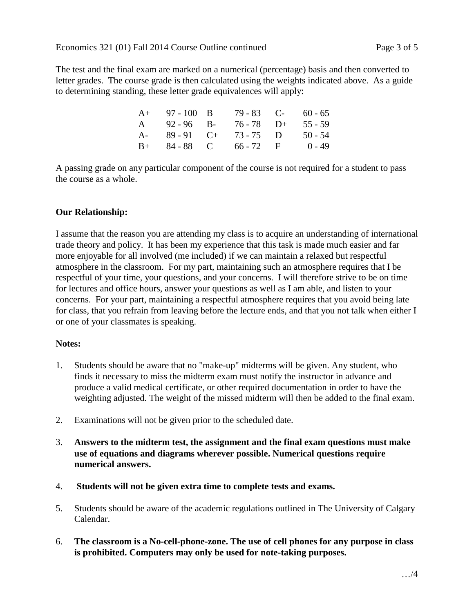The test and the final exam are marked on a numerical (percentage) basis and then converted to letter grades. The course grade is then calculated using the weights indicated above. As a guide to determining standing, these letter grade equivalences will apply:

| $A+ 97-100 B$ |                        | $79 - 83$ C- 60 - 65 |
|---------------|------------------------|----------------------|
| A 92-96 B-    | 76 - 78 D+             | $55 - 59$            |
|               | A- 89-91 C+ 73-75 D    | $50 - 54$            |
|               | $B+ 84-88$ C 66 - 72 F | $(0 - 49)$           |

A passing grade on any particular component of the course is not required for a student to pass the course as a whole.

# **Our Relationship:**

I assume that the reason you are attending my class is to acquire an understanding of international trade theory and policy. It has been my experience that this task is made much easier and far more enjoyable for all involved (me included) if we can maintain a relaxed but respectful atmosphere in the classroom. For my part, maintaining such an atmosphere requires that I be respectful of your time, your questions, and your concerns. I will therefore strive to be on time for lectures and office hours, answer your questions as well as I am able, and listen to your concerns. For your part, maintaining a respectful atmosphere requires that you avoid being late for class, that you refrain from leaving before the lecture ends, and that you not talk when either I or one of your classmates is speaking.

### **Notes:**

- 1. Students should be aware that no "make-up" midterms will be given. Any student, who finds it necessary to miss the midterm exam must notify the instructor in advance and produce a valid medical certificate, or other required documentation in order to have the weighting adjusted. The weight of the missed midterm will then be added to the final exam.
- 2. Examinations will not be given prior to the scheduled date.
- 3. **Answers to the midterm test, the assignment and the final exam questions must make use of equations and diagrams wherever possible. Numerical questions require numerical answers.**
- 4. **Students will not be given extra time to complete tests and exams.**
- 5. Students should be aware of the academic regulations outlined in The University of Calgary Calendar.
- 6. **The classroom is a No-cell-phone-zone. The use of cell phones for any purpose in class is prohibited. Computers may only be used for note-taking purposes.**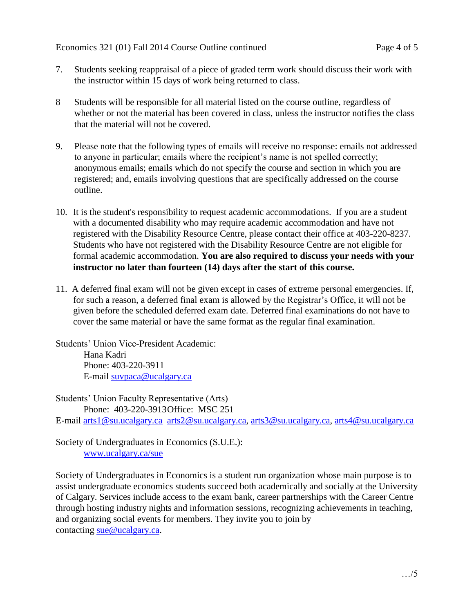Economics 321 (01) Fall 2014 Course Outline continued Page 4 of 5

- 7. Students seeking reappraisal of a piece of graded term work should discuss their work with the instructor within 15 days of work being returned to class.
- 8 Students will be responsible for all material listed on the course outline, regardless of whether or not the material has been covered in class, unless the instructor notifies the class that the material will not be covered.
- 9. Please note that the following types of emails will receive no response: emails not addressed to anyone in particular; emails where the recipient's name is not spelled correctly; anonymous emails; emails which do not specify the course and section in which you are registered; and, emails involving questions that are specifically addressed on the course outline.
- 10. It is the student's responsibility to request academic accommodations. If you are a student with a documented disability who may require academic accommodation and have not registered with the Disability Resource Centre, please contact their office at 403-220-8237. Students who have not registered with the Disability Resource Centre are not eligible for formal academic accommodation. **You are also required to discuss your needs with your instructor no later than fourteen (14) days after the start of this course.**
- 11. A deferred final exam will not be given except in cases of extreme personal emergencies. If, for such a reason, a deferred final exam is allowed by the Registrar's Office, it will not be given before the scheduled deferred exam date. Deferred final examinations do not have to cover the same material or have the same format as the regular final examination.

Students' Union Vice-President Academic: Hana Kadri Phone: 403-220-3911 E-mail [suvpaca@ucalgary.ca](mailto:subpaca@ucalgary.ca)

Students' Union Faculty Representative (Arts) Phone: 403-220-3913Office: MSC 251 E-mail [arts1@su.ucalgary.ca](mailto:arts1@su.ucalgary.ca) [arts2@su.ucalgary.ca,](mailto:arts2@su.ucalgary.ca) [arts3@su.ucalgary.ca,](mailto:arts3@su.ucalgary.ca) [arts4@su.ucalgary.ca](mailto:arts4@su.ucalgary.ca)

Society of Undergraduates in Economics (S.U.E.): [www.ucalgary.ca/sue](http://www.fp.ucalgary.ca/econ)

Society of Undergraduates in Economics is a student run organization whose main purpose is to assist undergraduate economics students succeed both academically and socially at the University of Calgary. Services include access to the exam bank, career partnerships with the Career Centre through hosting industry nights and information sessions, recognizing achievements in teaching, and organizing social events for members. They invite you to join by contacting [sue@ucalgary.ca.](mailto:sue@ucalgary.ca)